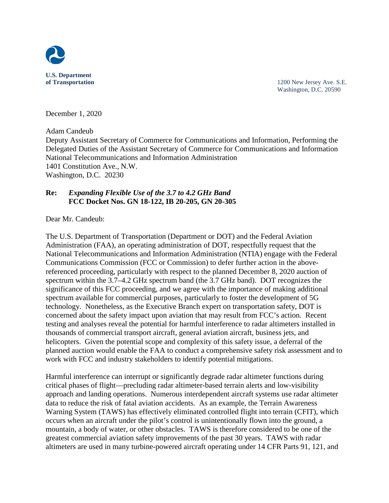

**of Transportation** 1200 New Jersey Ave. S.E. Washington, D.C. 20590

December 1, 2020

[Adam Candeub](https://www.ntia.doc.gov/page/adam-candeub)

Deputy Assistant Secretary of Commerce for Communications and Information, Performing the Delegated Duties of the Assistant Secretary of Commerce for Communications and Information National Telecommunications and Information Administration 1401 Constitution Ave., N.W. Washington, D.C. 20230

## **Re:** *Expanding Flexible Use of the 3.7 to 4.2 GHz Band* **FCC Docket Nos. GN 18-122, IB 20-205, GN 20-305**

Dear Mr. Candeub:

The U.S. Department of Transportation (Department or DOT) and the Federal Aviation Administration (FAA), an operating administration of DOT, respectfully request that the National Telecommunications and Information Administration (NTIA) engage with the Federal Communications Commission (FCC or Commission) to defer further action in the abovereferenced proceeding, particularly with respect to the planned December 8, 2020 auction of spectrum within the 3.7–4.2 GHz spectrum band (the 3.7 GHz band). DOT recognizes the significance of this FCC proceeding, and we agree with the importance of making additional spectrum available for commercial purposes, particularly to foster the development of 5G technology. Nonetheless, as the Executive Branch expert on transportation safety, DOT is concerned about the safety impact upon aviation that may result from FCC's action. Recent testing and analyses reveal the potential for harmful interference to radar altimeters installed in thousands of commercial transport aircraft, general aviation aircraft, business jets, and helicopters. Given the potential scope and complexity of this safety issue, a deferral of the planned auction would enable the FAA to conduct a comprehensive safety risk assessment and to work with FCC and industry stakeholders to identify potential mitigations.

Harmful interference can interrupt or significantly degrade radar altimeter functions during critical phases of flight—precluding radar altimeter-based terrain alerts and low-visibility approach and landing operations. Numerous interdependent aircraft systems use radar altimeter data to reduce the risk of fatal aviation accidents. As an example, the Terrain Awareness Warning System (TAWS) has effectively eliminated controlled flight into terrain (CFIT), which occurs when an aircraft under the pilot's control is unintentionally flown into the ground, a mountain, a body of water, or other obstacles. TAWS is therefore considered to be one of the greatest commercial aviation safety improvements of the past 30 years. TAWS with radar altimeters are used in many turbine-powered aircraft operating under 14 CFR Parts 91, 121, and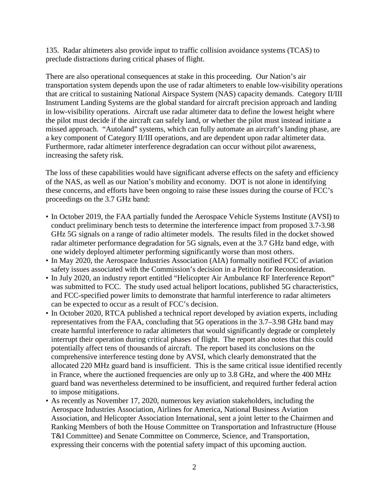135. Radar altimeters also provide input to traffic collision avoidance systems (TCAS) to preclude distractions during critical phases of flight.

There are also operational consequences at stake in this proceeding. Our Nation's air transportation system depends upon the use of radar altimeters to enable low-visibility operations that are critical to sustaining National Airspace System (NAS) capacity demands. Category II/III Instrument Landing Systems are the global standard for aircraft precision approach and landing in low-visibility operations. Aircraft use radar altimeter data to define the lowest height where the pilot must decide if the aircraft can safely land, or whether the pilot must instead initiate a missed approach. "Autoland" systems, which can fully automate an aircraft's landing phase, are a key component of Category II/III operations, and are dependent upon radar altimeter data. Furthermore, radar altimeter interference degradation can occur without pilot awareness, increasing the safety risk.

The loss of these capabilities would have significant adverse effects on the safety and efficiency of the NAS, as well as our Nation's mobility and economy. DOT is not alone in identifying these concerns, and efforts have been ongoing to raise these issues during the course of FCC's proceedings on the 3.7 GHz band:

- In October 2019, the FAA partially funded the Aerospace Vehicle Systems Institute (AVSI) to conduct preliminary bench tests to determine the interference impact from proposed 3.7-3.98 GHz 5G signals on a range of radio altimeter models. The results filed in the docket showed radar altimeter performance degradation for 5G signals, even at the 3.7 GHz band edge, with one widely deployed altimeter performing significantly worse than most others.
- In May 2020, the Aerospace Industries Association (AIA) formally notified FCC of aviation safety issues associated with the Commission's decision in a Petition for Reconsideration.
- In July 2020, an industry report entitled "Helicopter Air Ambulance RF Interference Report" was submitted to FCC. The study used actual heliport locations, published 5G characteristics, and FCC-specified power limits to demonstrate that harmful interference to radar altimeters can be expected to occur as a result of FCC's decision.
- In October 2020, RTCA published a technical report developed by aviation experts, including representatives from the FAA, concluding that 5G operations in the 3.7–3.98 GHz band may create harmful interference to radar altimeters that would significantly degrade or completely interrupt their operation during critical phases of flight. The report also notes that this could potentially affect tens of thousands of aircraft. The report based its conclusions on the comprehensive interference testing done by AVSI, which clearly demonstrated that the allocated 220 MHz guard band is insufficient. This is the same critical issue identified recently in France, where the auctioned frequencies are only up to 3.8 GHz, and where the 400 MHz guard band was nevertheless determined to be insufficient, and required further federal action to impose mitigations.
- As recently as November 17, 2020, numerous key aviation stakeholders, including the Aerospace Industries Association, Airlines for America, National Business Aviation Association, and Helicopter Association International, sent a joint letter to the Chairmen and Ranking Members of both the House Committee on Transportation and Infrastructure (House T&I Committee) and Senate Committee on Commerce, Science, and Transportation, expressing their concerns with the potential safety impact of this upcoming auction.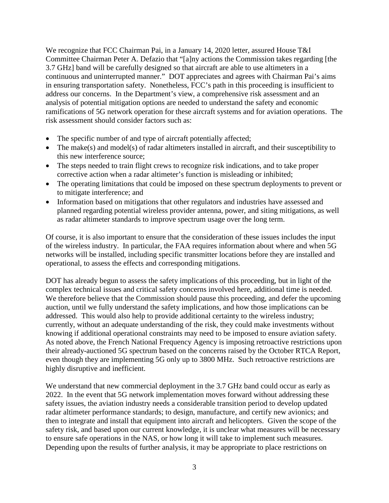We recognize that FCC Chairman Pai, in a January 14, 2020 letter, assured House T&I Committee Chairman Peter A. Defazio that "[a]ny actions the Commission takes regarding [the 3.7 GHz] band will be carefully designed so that aircraft are able to use altimeters in a continuous and uninterrupted manner." DOT appreciates and agrees with Chairman Pai's aims in ensuring transportation safety. Nonetheless, FCC's path in this proceeding is insufficient to address our concerns. In the Department's view, a comprehensive risk assessment and an analysis of potential mitigation options are needed to understand the safety and economic ramifications of 5G network operation for these aircraft systems and for aviation operations. The risk assessment should consider factors such as:

- The specific number of and type of aircraft potentially affected;
- The make(s) and model(s) of radar altimeters installed in aircraft, and their susceptibility to this new interference source;
- The steps needed to train flight crews to recognize risk indications, and to take proper corrective action when a radar altimeter's function is misleading or inhibited;
- The operating limitations that could be imposed on these spectrum deployments to prevent or to mitigate interference; and
- Information based on mitigations that other regulators and industries have assessed and planned regarding potential wireless provider antenna, power, and siting mitigations, as well as radar altimeter standards to improve spectrum usage over the long term.

Of course, it is also important to ensure that the consideration of these issues includes the input of the wireless industry. In particular, the FAA requires information about where and when 5G networks will be installed, including specific transmitter locations before they are installed and operational, to assess the effects and corresponding mitigations.

DOT has already begun to assess the safety implications of this proceeding, but in light of the complex technical issues and critical safety concerns involved here, additional time is needed. We therefore believe that the Commission should pause this proceeding, and defer the upcoming auction, until we fully understand the safety implications, and how those implications can be addressed. This would also help to provide additional certainty to the wireless industry; currently, without an adequate understanding of the risk, they could make investments without knowing if additional operational constraints may need to be imposed to ensure aviation safety. As noted above, the French National Frequency Agency is imposing retroactive restrictions upon their already-auctioned 5G spectrum based on the concerns raised by the October RTCA Report, even though they are implementing 5G only up to 3800 MHz. Such retroactive restrictions are highly disruptive and inefficient.

We understand that new commercial deployment in the 3.7 GHz band could occur as early as 2022. In the event that 5G network implementation moves forward without addressing these safety issues, the aviation industry needs a considerable transition period to develop updated radar altimeter performance standards; to design, manufacture, and certify new avionics; and then to integrate and install that equipment into aircraft and helicopters. Given the scope of the safety risk, and based upon our current knowledge, it is unclear what measures will be necessary to ensure safe operations in the NAS, or how long it will take to implement such measures. Depending upon the results of further analysis, it may be appropriate to place restrictions on